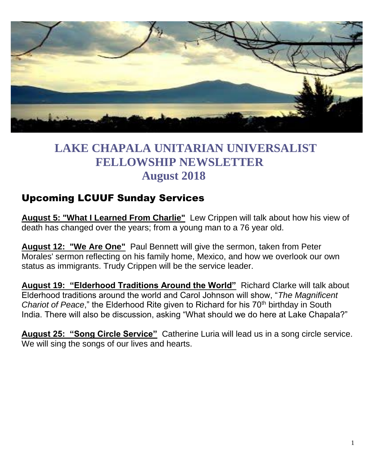

# **LAKE CHAPALA UNITARIAN UNIVERSALIST FELLOWSHIP NEWSLETTER August 2018**

## Upcoming LCUUF Sunday Services

**August 5: "What I Learned From Charlie"** Lew Crippen will talk about how his view of death has changed over the years; from a young man to a 76 year old.

**August 12: "We Are One"** Paul Bennett will give the sermon, taken from Peter Morales' sermon reflecting on his family home, Mexico, and how we overlook our own status as immigrants. Trudy Crippen will be the service leader.

**August 19: "Elderhood Traditions Around the World"** Richard Clarke will talk about Elderhood traditions around the world and Carol Johnson will show, "*The Magnificent Chariot of Peace*," the Elderhood Rite given to Richard for his 70<sup>th</sup> birthday in South India. There will also be discussion, asking "What should we do here at Lake Chapala?"

**August 25: "Song Circle Service"** Catherine Luria will lead us in a song circle service. We will sing the songs of our lives and hearts.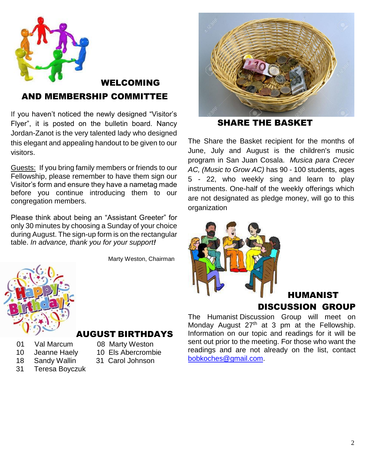

## WELCOMING AND MEMBERSHIP COMMITTEE

If you haven't noticed the newly designed "Visitor's Flyer", it is posted on the bulletin board. Nancy Jordan-Zanot is the very talented lady who designed this elegant and appealing handout to be given to our visitors.

Guests: If you bring family members or friends to our Fellowship, please remember to have them sign our Visitor's form and ensure they have a nametag made before you continue introducing them to our congregation members.

Please think about being an "Assistant Greeter" for only 30 minutes by choosing a Sunday of your choice during August. The sign-up form is on the rectangular table. *In advance, thank you for your support!*

Marty Weston, Chairman



#### AUGUST BIRTHDAYS

- 01 Val Marcum 08 Marty Weston
- 10 Jeanne Haely 10 Els Abercrombie
- 18 Sandy Wallin 31 Carol Johnson
- 31 Teresa Boyczuk
- 
- 



SHARE THE BASKET

The Share the Basket recipient for the months of June, July and August is the children's music program in San Juan Cosala. *Musica para Crecer AC, (Music to Grow AC)* has 90 - 100 students, ages 5 - 22, who weekly sing and learn to play instruments. One-half of the weekly offerings which are not designated as pledge money, will go to this organization



### HUMANIST DISCUSSION GROUP

The Humanist Discussion Group will meet on Monday August 27<sup>th</sup> at 3 pm at the Fellowship. Information on our topic and readings for it will be sent out prior to the meeting. For those who want the readings and are not already on the list, contact [bobkoches@gmail.com](mailto:bobkoches@gmail.com).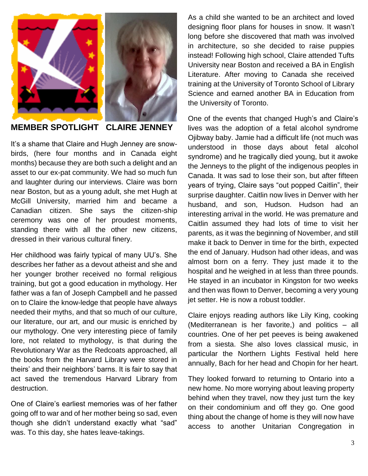

**MEMBER SPOTLIGHT CLAIRE JENNEY**

It's a shame that Claire and Hugh Jenney are snowbirds, (here four months and in Canada eight months) because they are both such a delight and an asset to our ex-pat community. We had so much fun and laughter during our interviews. Claire was born near Boston, but as a young adult, she met Hugh at McGill University, married him and became a Canadian citizen. She says the citizen-ship ceremony was one of her proudest moments, standing there with all the other new citizens, dressed in their various cultural finery.

Her childhood was fairly typical of many UU's. She describes her father as a devout atheist and she and her younger brother received no formal religious training, but got a good education in mythology. Her father was a fan of Joseph Campbell and he passed on to Claire the know-ledge that people have always needed their myths, and that so much of our culture, our literature, our art, and our music is enriched by our mythology. One very interesting piece of family lore, not related to mythology, is that during the Revolutionary War as the Redcoats approached, all the books from the Harvard Library were stored in theirs' and their neighbors' barns. It is fair to say that act saved the tremendous Harvard Library from destruction.

One of Claire's earliest memories was of her father going off to war and of her mother being so sad, even though she didn't understand exactly what "sad" was. To this day, she hates leave-takings.

As a child she wanted to be an architect and loved designing floor plans for houses in snow. It wasn't long before she discovered that math was involved in architecture, so she decided to raise puppies instead! Following high school, Claire attended Tufts University near Boston and received a BA in English Literature. After moving to Canada she received training at the University of Toronto School of Library Science and earned another BA in Education from the University of Toronto.

One of the events that changed Hugh's and Claire's lives was the adoption of a fetal alcohol syndrome Ojibway baby. Jamie had a difficult life (not much was understood in those days about fetal alcohol syndrome) and he tragically died young, but it awoke the Jenneys to the plight of the indigenous peoples in Canada. It was sad to lose their son, but after fifteen years of trying, Claire says "out popped Caitlin", their surprise daughter. Caitlin now lives in Denver with her husband, and son, Hudson. Hudson had an interesting arrival in the world. He was premature and Caitlin assumed they had lots of time to visit her parents, as it was the beginning of November, and still make it back to Denver in time for the birth, expected the end of January. Hudson had other ideas, and was almost born on a ferry. They just made it to the hospital and he weighed in at less than three pounds. He stayed in an incubator in Kingston for two weeks and then was flown to Denver, becoming a very young jet setter. He is now a robust toddler.

Claire enjoys reading authors like Lily King, cooking (Mediterranean is her favorite,) and politics – all countries. One of her pet peeves is being awakened from a siesta. She also loves classical music, in particular the Northern Lights Festival held here annually, Bach for her head and Chopin for her heart.

They looked forward to returning to Ontario into a new home. No more worrying about leaving property behind when they travel, now they just turn the key on their condominium and off they go. One good thing about the change of home is they will now have access to another Unitarian Congregation in